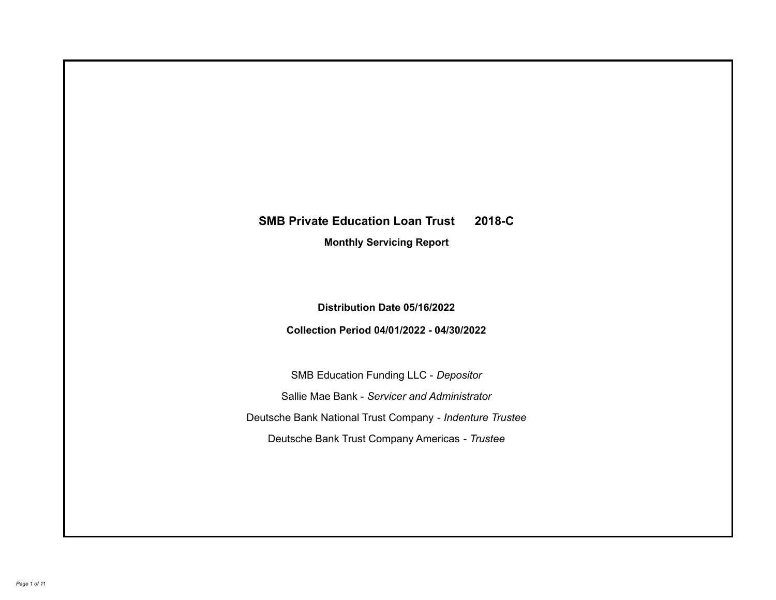# **SMB Private Education Loan Trust 2018-C**

**Monthly Servicing Report**

**Distribution Date 05/16/2022**

**Collection Period 04/01/2022 - 04/30/2022**

SMB Education Funding LLC - *Depositor* Sallie Mae Bank - *Servicer and Administrator* Deutsche Bank National Trust Company - *Indenture Trustee* Deutsche Bank Trust Company Americas - *Trustee*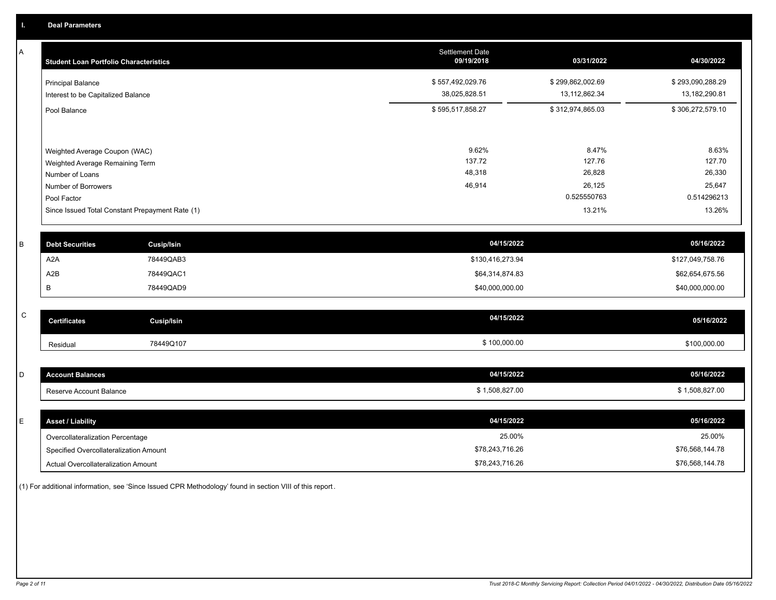A

 $\,$  C  $\,$ 

| A            | <b>Student Loan Portfolio Characteristics</b>                  |                                                 | <b>Settlement Date</b><br>09/19/2018 | 03/31/2022                        | 04/30/2022                        |
|--------------|----------------------------------------------------------------|-------------------------------------------------|--------------------------------------|-----------------------------------|-----------------------------------|
|              | <b>Principal Balance</b><br>Interest to be Capitalized Balance |                                                 | \$557,492,029.76<br>38,025,828.51    | \$299,862,002.69<br>13,112,862.34 | \$293,090,288.29<br>13,182,290.81 |
|              | Pool Balance                                                   |                                                 | \$595,517,858.27                     | \$312,974,865.03                  | \$306,272,579.10                  |
|              | Weighted Average Coupon (WAC)                                  |                                                 | 9.62%                                | 8.47%                             | 8.63%                             |
|              | Weighted Average Remaining Term                                |                                                 | 137.72                               | 127.76                            | 127.70                            |
|              | Number of Loans                                                |                                                 | 48,318                               | 26,828                            | 26,330                            |
|              | Number of Borrowers                                            |                                                 | 46,914                               | 26,125                            | 25,647                            |
|              | Pool Factor                                                    |                                                 |                                      | 0.525550763                       | 0.514296213                       |
|              |                                                                | Since Issued Total Constant Prepayment Rate (1) |                                      | 13.21%                            | 13.26%                            |
| B            | <b>Debt Securities</b>                                         | <b>Cusip/Isin</b>                               | 04/15/2022                           |                                   | 05/16/2022                        |
|              | A <sub>2</sub> A                                               | 78449QAB3                                       | \$130,416,273.94                     |                                   | \$127,049,758.76                  |
|              | A2B                                                            | 78449QAC1                                       | \$64,314,874.83                      |                                   | \$62,654,675.56                   |
|              | В                                                              | 78449QAD9                                       | \$40,000,000.00                      |                                   | \$40,000,000.00                   |
|              |                                                                |                                                 |                                      |                                   |                                   |
| $\mathsf{C}$ | <b>Certificates</b>                                            | Cusip/Isin                                      | 04/15/2022                           |                                   | 05/16/2022                        |
|              | Residual                                                       | 78449Q107                                       | \$100,000.00                         |                                   | \$100,000.00                      |
|              |                                                                |                                                 |                                      |                                   |                                   |

| count Balances          | 04/15/2022  | 05/16/2022     |
|-------------------------|-------------|----------------|
| Reserve Account Balance | .508.827.00 | \$1,508,827.00 |

| <b>Asset / Liability</b>               | 04/15/2022      | 05/16/2022      |
|----------------------------------------|-----------------|-----------------|
| Overcollateralization Percentage       | 25.00%          | 25.00%          |
| Specified Overcollateralization Amount | \$78.243.716.26 | \$76,568,144.78 |
| Actual Overcollateralization Amount    | \$78,243,716.26 | \$76,568,144.78 |

(1) For additional information, see 'Since Issued CPR Methodology' found in section VIII of this report .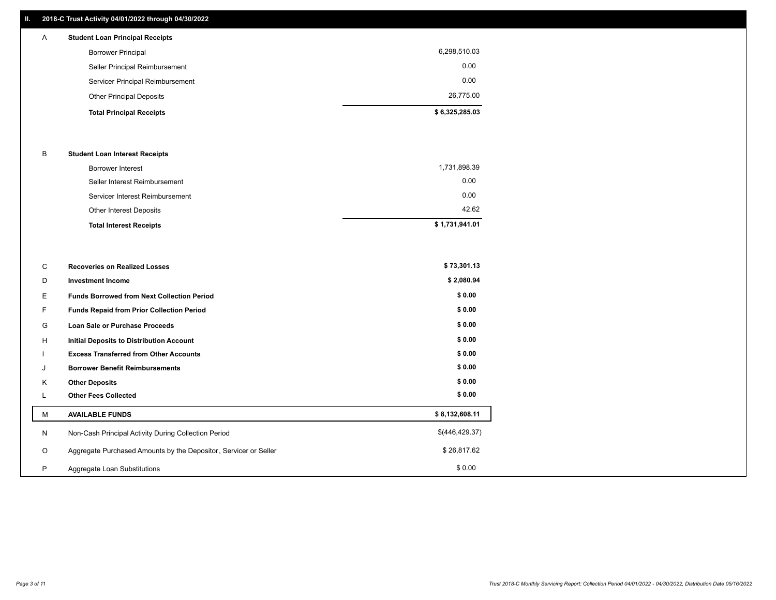## **II. 2018-C Trust Activity 04/01/2022 through 04/30/2022**

## **Total Principal Receipts \$ 6,325,285.03**  Other Principal Deposits 26,775.00 Servicer Principal Reimbursement 0.00 Seller Principal Reimbursement 0.00 Borrower Principal 6,298,510.03 A **Student Loan Principal Receipts**

### B **Student Loan Interest Receipts**

| <b>Total Interest Receipts</b>  | \$1,731,941.01 |
|---------------------------------|----------------|
| Other Interest Deposits         | 42.62          |
| Servicer Interest Reimbursement | 0.00           |
| Seller Interest Reimbursement   | 0.00           |
| Borrower Interest               | 1,731,898.39   |

| C       | <b>Recoveries on Realized Losses</b>                             | \$73,301.13     |
|---------|------------------------------------------------------------------|-----------------|
| D       | <b>Investment Income</b>                                         | \$2,080.94      |
| E.      | <b>Funds Borrowed from Next Collection Period</b>                | \$0.00          |
| F.      | <b>Funds Repaid from Prior Collection Period</b>                 | \$0.00          |
| G       | Loan Sale or Purchase Proceeds                                   | \$0.00          |
| H       | Initial Deposits to Distribution Account                         | \$0.00          |
|         | <b>Excess Transferred from Other Accounts</b>                    | \$0.00          |
| J       | <b>Borrower Benefit Reimbursements</b>                           | \$0.00          |
| K       | <b>Other Deposits</b>                                            | \$0.00          |
| ┕       | <b>Other Fees Collected</b>                                      | \$0.00          |
| М       | <b>AVAILABLE FUNDS</b>                                           | \$8,132,608.11  |
| N       | Non-Cash Principal Activity During Collection Period             | \$(446, 429.37) |
| $\circ$ | Aggregate Purchased Amounts by the Depositor, Servicer or Seller | \$26,817.62     |
| P       | Aggregate Loan Substitutions                                     | \$0.00          |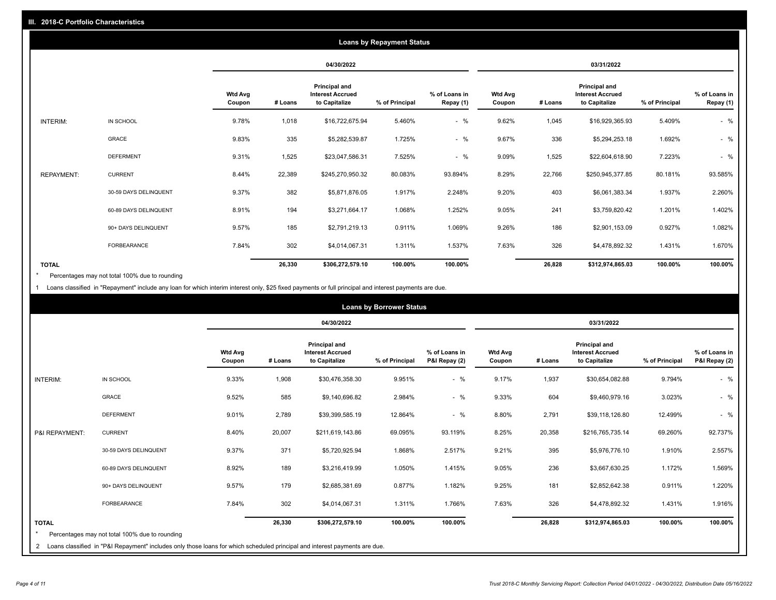| <b>Loans by Repayment Status</b> |                       |                          |         |                                                           |                |                            |                          |         |                                                           |                |                            |
|----------------------------------|-----------------------|--------------------------|---------|-----------------------------------------------------------|----------------|----------------------------|--------------------------|---------|-----------------------------------------------------------|----------------|----------------------------|
|                                  |                       |                          |         | 04/30/2022                                                |                |                            |                          |         | 03/31/2022                                                |                |                            |
|                                  |                       | <b>Wtd Avg</b><br>Coupon | # Loans | Principal and<br><b>Interest Accrued</b><br>to Capitalize | % of Principal | % of Loans in<br>Repay (1) | <b>Wtd Avg</b><br>Coupon | # Loans | Principal and<br><b>Interest Accrued</b><br>to Capitalize | % of Principal | % of Loans in<br>Repay (1) |
| INTERIM:                         | IN SCHOOL             | 9.78%                    | 1,018   | \$16,722,675.94                                           | 5.460%         | $-$ %                      | 9.62%                    | 1,045   | \$16,929,365.93                                           | 5.409%         | $-$ %                      |
|                                  | GRACE                 | 9.83%                    | 335     | \$5,282,539.87                                            | 1.725%         | $-$ %                      | 9.67%                    | 336     | \$5,294,253.18                                            | 1.692%         | $-$ %                      |
|                                  | <b>DEFERMENT</b>      | 9.31%                    | 1,525   | \$23,047,586.31                                           | 7.525%         | $-$ %                      | 9.09%                    | 1,525   | \$22,604,618.90                                           | 7.223%         | $-$ %                      |
| <b>REPAYMENT:</b>                | <b>CURRENT</b>        | 8.44%                    | 22,389  | \$245,270,950.32                                          | 80.083%        | 93.894%                    | 8.29%                    | 22,766  | \$250,945,377.85                                          | 80.181%        | 93.585%                    |
|                                  | 30-59 DAYS DELINQUENT | 9.37%                    | 382     | \$5,871,876.05                                            | 1.917%         | 2.248%                     | 9.20%                    | 403     | \$6,061,383.34                                            | 1.937%         | 2.260%                     |
|                                  | 60-89 DAYS DELINQUENT | 8.91%                    | 194     | \$3,271,664.17                                            | 1.068%         | 1.252%                     | 9.05%                    | 241     | \$3,759,820.42                                            | 1.201%         | 1.402%                     |
|                                  | 90+ DAYS DELINQUENT   | 9.57%                    | 185     | \$2,791,219.13                                            | 0.911%         | 1.069%                     | 9.26%                    | 186     | \$2,901,153.09                                            | 0.927%         | 1.082%                     |
|                                  | <b>FORBEARANCE</b>    | 7.84%                    | 302     | \$4,014,067.31                                            | 1.311%         | 1.537%                     | 7.63%                    | 326     | \$4,478,892.32                                            | 1.431%         | 1.670%                     |
| <b>TOTAL</b>                     |                       |                          | 26,330  | \$306,272,579.10                                          | 100.00%        | 100.00%                    |                          | 26,828  | \$312,974,865.03                                          | 100.00%        | 100.00%                    |

Percentages may not total 100% due to rounding \*

1 Loans classified in "Repayment" include any loan for which interim interest only, \$25 fixed payments or full principal and interest payments are due.

|                |                                                | <b>Loans by Borrower Status</b> |         |                                                                  |                                                                                                                            |                                |                          |         |                                                           |                |                                |  |
|----------------|------------------------------------------------|---------------------------------|---------|------------------------------------------------------------------|----------------------------------------------------------------------------------------------------------------------------|--------------------------------|--------------------------|---------|-----------------------------------------------------------|----------------|--------------------------------|--|
|                |                                                |                                 |         | 04/30/2022                                                       |                                                                                                                            |                                | 03/31/2022               |         |                                                           |                |                                |  |
|                |                                                | <b>Wtd Avg</b><br>Coupon        | # Loans | <b>Principal and</b><br><b>Interest Accrued</b><br>to Capitalize | % of Principal                                                                                                             | % of Loans in<br>P&I Repay (2) | <b>Wtd Avg</b><br>Coupon | # Loans | Principal and<br><b>Interest Accrued</b><br>to Capitalize | % of Principal | % of Loans in<br>P&I Repay (2) |  |
| INTERIM:       | IN SCHOOL                                      | 9.33%                           | 1,908   | \$30,476,358.30                                                  | 9.951%                                                                                                                     | $-$ %                          | 9.17%                    | 1,937   | \$30,654,082.88                                           | 9.794%         | $-$ %                          |  |
|                | <b>GRACE</b>                                   | 9.52%                           | 585     | \$9,140,696.82                                                   | 2.984%                                                                                                                     | $-$ %                          | 9.33%                    | 604     | \$9,460,979.16                                            | 3.023%         | $-$ %                          |  |
|                | <b>DEFERMENT</b>                               | 9.01%                           | 2,789   | \$39,399,585.19                                                  | 12.864%                                                                                                                    | $-$ %                          | 8.80%                    | 2,791   | \$39,118,126.80                                           | 12.499%        | $-$ %                          |  |
| P&I REPAYMENT: | <b>CURRENT</b>                                 | 8.40%                           | 20,007  | \$211,619,143.86                                                 | 69.095%                                                                                                                    | 93.119%                        | 8.25%                    | 20,358  | \$216,765,735.14                                          | 69.260%        | 92.737%                        |  |
|                | 30-59 DAYS DELINQUENT                          | 9.37%                           | 371     | \$5,720,925.94                                                   | 1.868%                                                                                                                     | 2.517%                         | 9.21%                    | 395     | \$5,976,776.10                                            | 1.910%         | 2.557%                         |  |
|                | 60-89 DAYS DELINQUENT                          | 8.92%                           | 189     | \$3,216,419.99                                                   | 1.050%                                                                                                                     | 1.415%                         | 9.05%                    | 236     | \$3,667,630.25                                            | 1.172%         | 1.569%                         |  |
|                | 90+ DAYS DELINQUENT                            | 9.57%                           | 179     | \$2,685,381.69                                                   | 0.877%                                                                                                                     | 1.182%                         | 9.25%                    | 181     | \$2,852,642.38                                            | 0.911%         | 1.220%                         |  |
|                | FORBEARANCE                                    | 7.84%                           | 302     | \$4,014,067.31                                                   | 1.311%                                                                                                                     | 1.766%                         | 7.63%                    | 326     | \$4,478,892.32                                            | 1.431%         | 1.916%                         |  |
| <b>TOTAL</b>   | Percentages may not total 100% due to rounding |                                 | 26,330  | \$306,272,579.10                                                 | 100.00%                                                                                                                    | 100.00%                        |                          | 26,828  | \$312,974,865.03                                          | 100.00%        | 100.00%                        |  |
| 2              |                                                |                                 |         |                                                                  | Loans classified in "P&I Repayment" includes only those loans for which scheduled principal and interest payments are due. |                                |                          |         |                                                           |                |                                |  |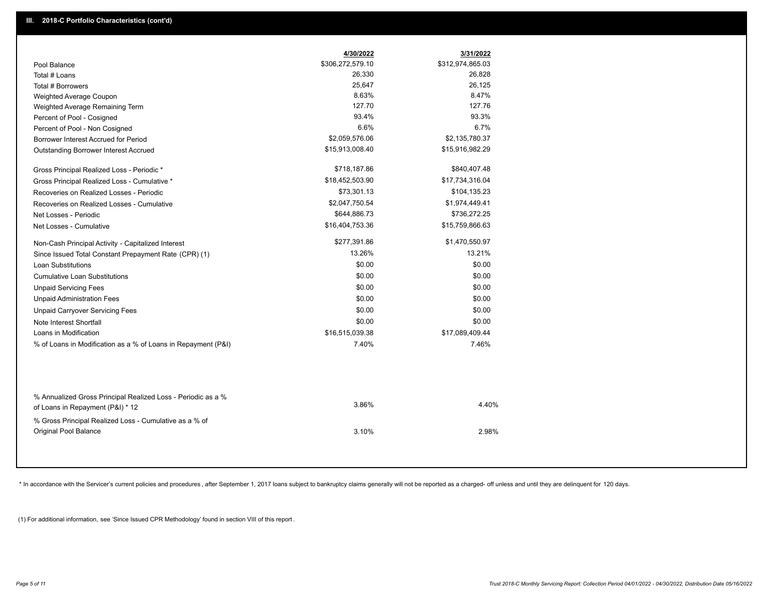|                                                                                                  | 4/30/2022        | 3/31/2022        |
|--------------------------------------------------------------------------------------------------|------------------|------------------|
| Pool Balance                                                                                     | \$306,272,579.10 | \$312,974,865.03 |
| Total # Loans                                                                                    | 26,330           | 26,828           |
| Total # Borrowers                                                                                | 25,647           | 26,125           |
| Weighted Average Coupon                                                                          | 8.63%            | 8.47%            |
| Weighted Average Remaining Term                                                                  | 127.70           | 127.76           |
| Percent of Pool - Cosigned                                                                       | 93.4%            | 93.3%            |
| Percent of Pool - Non Cosigned                                                                   | 6.6%             | 6.7%             |
| Borrower Interest Accrued for Period                                                             | \$2,059,576.06   | \$2,135,780.37   |
| Outstanding Borrower Interest Accrued                                                            | \$15,913,008.40  | \$15,916,982.29  |
| Gross Principal Realized Loss - Periodic *                                                       | \$718,187.86     | \$840,407.48     |
| Gross Principal Realized Loss - Cumulative *                                                     | \$18,452,503.90  | \$17,734,316.04  |
| Recoveries on Realized Losses - Periodic                                                         | \$73,301.13      | \$104,135.23     |
| Recoveries on Realized Losses - Cumulative                                                       | \$2,047,750.54   | \$1,974,449.41   |
| Net Losses - Periodic                                                                            | \$644,886.73     | \$736,272.25     |
| Net Losses - Cumulative                                                                          | \$16,404,753.36  | \$15,759,866.63  |
| Non-Cash Principal Activity - Capitalized Interest                                               | \$277,391.86     | \$1,470,550.97   |
| Since Issued Total Constant Prepayment Rate (CPR) (1)                                            | 13.26%           | 13.21%           |
| <b>Loan Substitutions</b>                                                                        | \$0.00           | \$0.00           |
| <b>Cumulative Loan Substitutions</b>                                                             | \$0.00           | \$0.00           |
| <b>Unpaid Servicing Fees</b>                                                                     | \$0.00           | \$0.00           |
| <b>Unpaid Administration Fees</b>                                                                | \$0.00           | \$0.00           |
| <b>Unpaid Carryover Servicing Fees</b>                                                           | \$0.00           | \$0.00           |
| Note Interest Shortfall                                                                          | \$0.00           | \$0.00           |
| Loans in Modification                                                                            | \$16,515,039.38  | \$17,089,409.44  |
| % of Loans in Modification as a % of Loans in Repayment (P&I)                                    | 7.40%            | 7.46%            |
|                                                                                                  |                  |                  |
| % Annualized Gross Principal Realized Loss - Periodic as a %<br>of Loans in Repayment (P&I) * 12 | 3.86%            | 4.40%            |
| % Gross Principal Realized Loss - Cumulative as a % of                                           |                  |                  |

\* In accordance with the Servicer's current policies and procedures, after September 1, 2017 loans subject to bankruptcy claims generally will not be reported as a charged- off unless and until they are delinquent for 120

3.10% 2.98%

(1) For additional information, see 'Since Issued CPR Methodology' found in section VIII of this report .

Original Pool Balance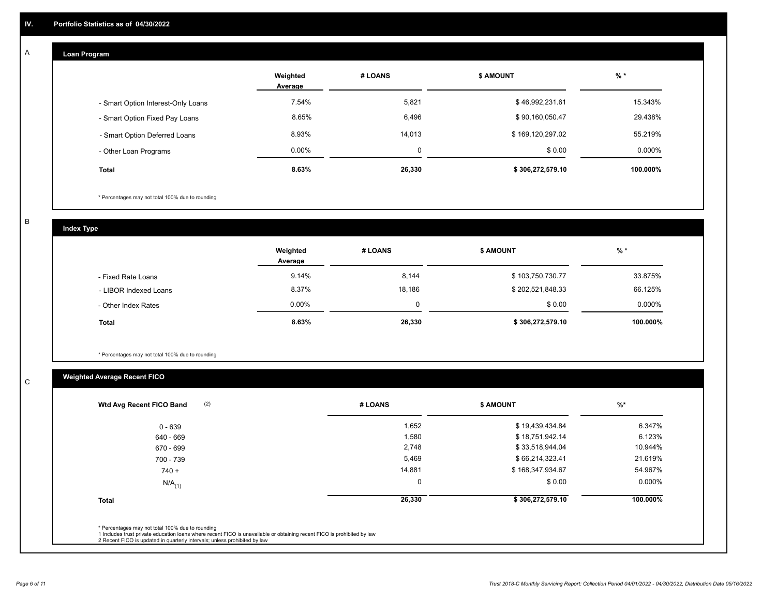#### **Loan Program**  A

|                                    | Weighted<br>Average | # LOANS | <b>\$ AMOUNT</b> | $%$ *    |
|------------------------------------|---------------------|---------|------------------|----------|
| - Smart Option Interest-Only Loans | 7.54%               | 5,821   | \$46,992,231.61  | 15.343%  |
| - Smart Option Fixed Pay Loans     | 8.65%               | 6,496   | \$90,160,050.47  | 29.438%  |
| - Smart Option Deferred Loans      | 8.93%               | 14,013  | \$169,120,297.02 | 55.219%  |
| - Other Loan Programs              | $0.00\%$            | $\sim$  | \$0.00           | 0.000%   |
| Total                              | 8.63%               | 26,330  | \$306,272,579.10 | 100.000% |

\* Percentages may not total 100% due to rounding

B

C

**Index Type**

|                       | Weighted<br>Average | # LOANS | <b>\$ AMOUNT</b> | $%$ *     |
|-----------------------|---------------------|---------|------------------|-----------|
| - Fixed Rate Loans    | 9.14%               | 8,144   | \$103,750,730.77 | 33.875%   |
| - LIBOR Indexed Loans | 8.37%               | 18,186  | \$202,521,848.33 | 66.125%   |
| - Other Index Rates   | $0.00\%$            | 0       | \$0.00           | $0.000\%$ |
| <b>Total</b>          | 8.63%               | 26,330  | \$306,272,579.10 | 100.000%  |

\* Percentages may not total 100% due to rounding

## **Weighted Average Recent FICO**

| (2)<br>Wtd Avg Recent FICO Band | # LOANS     | <b>S AMOUNT</b>  | $%$ *     |
|---------------------------------|-------------|------------------|-----------|
| 0 - 639                         | 1,652       | \$19,439,434.84  | 6.347%    |
| 640 - 669                       | 1,580       | \$18,751,942.14  | 6.123%    |
| 670 - 699                       | 2,748       | \$33,518,944.04  | 10.944%   |
| 700 - 739                       | 5,469       | \$66,214,323.41  | 21.619%   |
| $740 +$                         | 14,881      | \$168,347,934.67 | 54.967%   |
| $N/A$ <sub>(1)</sub>            | $\mathbf 0$ | \$0.00           | $0.000\%$ |
| <b>Total</b>                    | 26,330      | \$306,272,579.10 | 100.000%  |
|                                 |             |                  |           |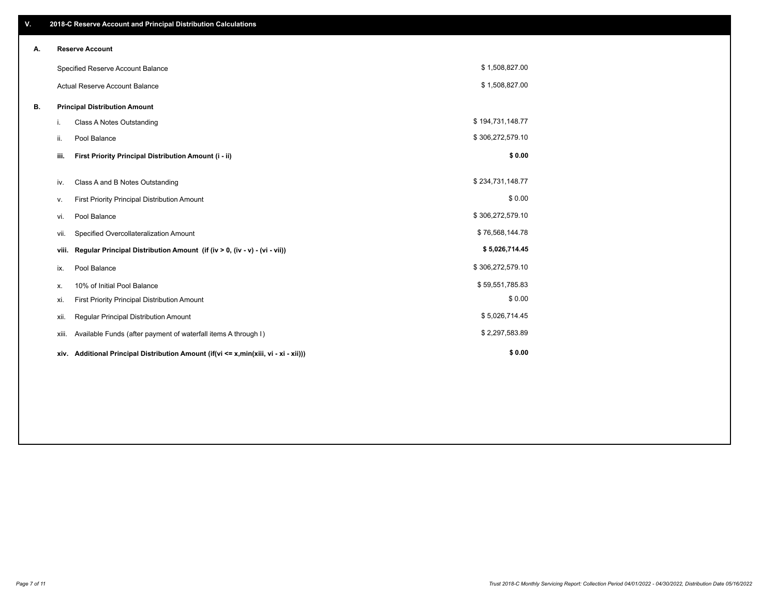| V. |       | 2018-C Reserve Account and Principal Distribution Calculations                       |                  |  |
|----|-------|--------------------------------------------------------------------------------------|------------------|--|
| А. |       | <b>Reserve Account</b>                                                               |                  |  |
|    |       | Specified Reserve Account Balance                                                    | \$1,508,827.00   |  |
|    |       | Actual Reserve Account Balance                                                       | \$1,508,827.00   |  |
| В. |       | <b>Principal Distribution Amount</b>                                                 |                  |  |
|    | i.    | Class A Notes Outstanding                                                            | \$194,731,148.77 |  |
|    | ii.   | Pool Balance                                                                         | \$306,272,579.10 |  |
|    | iii.  | First Priority Principal Distribution Amount (i - ii)                                | \$0.00           |  |
|    | iv.   | Class A and B Notes Outstanding                                                      | \$234,731,148.77 |  |
|    | v.    | First Priority Principal Distribution Amount                                         | \$0.00           |  |
|    | vi.   | Pool Balance                                                                         | \$306,272,579.10 |  |
|    | vii.  | Specified Overcollateralization Amount                                               | \$76,568,144.78  |  |
|    | viii. | Regular Principal Distribution Amount (if (iv > 0, (iv - v) - (vi - vii))            | \$5,026,714.45   |  |
|    | ix.   | Pool Balance                                                                         | \$306,272,579.10 |  |
|    | х.    | 10% of Initial Pool Balance                                                          | \$59,551,785.83  |  |
|    | xi.   | First Priority Principal Distribution Amount                                         | \$0.00           |  |
|    | xii.  | Regular Principal Distribution Amount                                                | \$5,026,714.45   |  |
|    | xiii. | Available Funds (after payment of waterfall items A through I)                       | \$2,297,583.89   |  |
|    |       | xiv. Additional Principal Distribution Amount (if(vi <= x,min(xiii, vi - xi - xii))) | \$0.00           |  |
|    |       |                                                                                      |                  |  |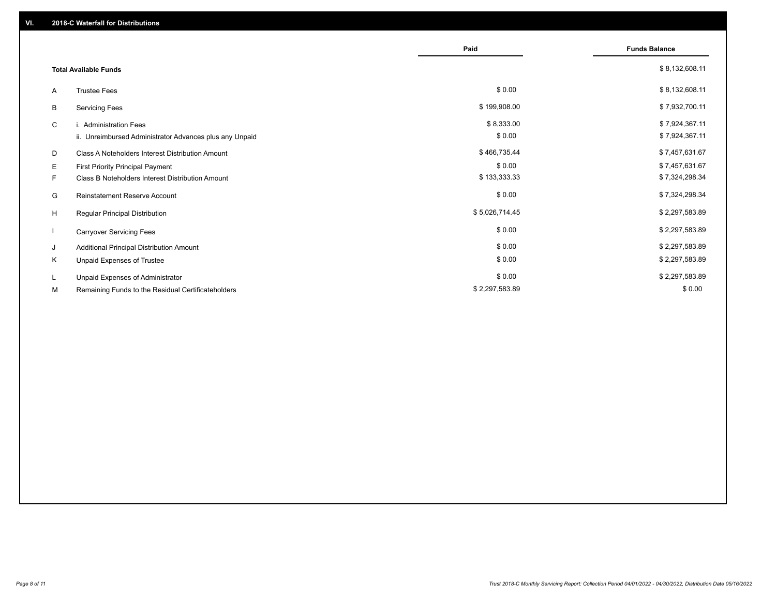|                              |                                                         | Paid           | <b>Funds Balance</b> |
|------------------------------|---------------------------------------------------------|----------------|----------------------|
| <b>Total Available Funds</b> |                                                         |                | \$8,132,608.11       |
| A                            | <b>Trustee Fees</b>                                     | \$0.00         | \$8,132,608.11       |
| В                            | <b>Servicing Fees</b>                                   | \$199,908.00   | \$7,932,700.11       |
| C                            | i. Administration Fees                                  | \$8,333.00     | \$7,924,367.11       |
|                              | ii. Unreimbursed Administrator Advances plus any Unpaid | \$0.00         | \$7,924,367.11       |
| D                            | Class A Noteholders Interest Distribution Amount        | \$466,735.44   | \$7,457,631.67       |
| Е                            | First Priority Principal Payment                        | \$0.00         | \$7,457,631.67       |
| F.                           | Class B Noteholders Interest Distribution Amount        | \$133,333.33   | \$7,324,298.34       |
| G                            | <b>Reinstatement Reserve Account</b>                    | \$0.00         | \$7,324,298.34       |
| H                            | Regular Principal Distribution                          | \$5,026,714.45 | \$2,297,583.89       |
|                              | <b>Carryover Servicing Fees</b>                         | \$0.00         | \$2,297,583.89       |
| J                            | Additional Principal Distribution Amount                | \$0.00         | \$2,297,583.89       |
| Κ                            | Unpaid Expenses of Trustee                              | \$0.00         | \$2,297,583.89       |
| L                            | Unpaid Expenses of Administrator                        | \$0.00         | \$2,297,583.89       |
| М                            | Remaining Funds to the Residual Certificateholders      | \$2,297,583.89 | \$0.00               |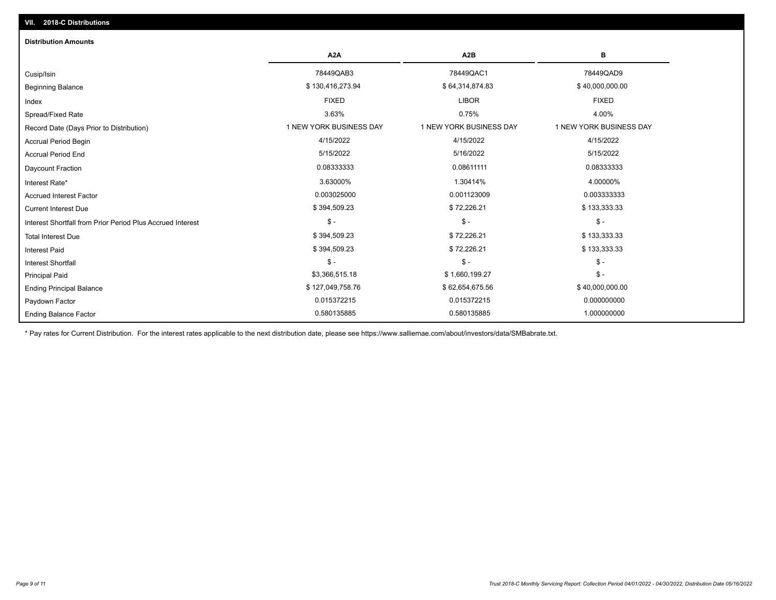| <b>Distribution Amounts</b>                                |                         |                         |                         |  |  |
|------------------------------------------------------------|-------------------------|-------------------------|-------------------------|--|--|
|                                                            | A <sub>2</sub> A        | A <sub>2</sub> B        | в                       |  |  |
| Cusip/Isin                                                 | 78449QAB3               | 78449QAC1               | 78449QAD9               |  |  |
| <b>Beginning Balance</b>                                   | \$130,416,273.94        | \$64,314,874.83         | \$40,000,000.00         |  |  |
| Index                                                      | <b>FIXED</b>            | <b>LIBOR</b>            | <b>FIXED</b>            |  |  |
| Spread/Fixed Rate                                          | 3.63%                   | 0.75%                   | 4.00%                   |  |  |
| Record Date (Days Prior to Distribution)                   | 1 NEW YORK BUSINESS DAY | 1 NEW YORK BUSINESS DAY | 1 NEW YORK BUSINESS DAY |  |  |
| <b>Accrual Period Begin</b>                                | 4/15/2022               | 4/15/2022               | 4/15/2022               |  |  |
| <b>Accrual Period End</b>                                  | 5/15/2022               | 5/16/2022               | 5/15/2022               |  |  |
| Daycount Fraction                                          | 0.08333333              | 0.08611111              | 0.08333333              |  |  |
| Interest Rate*                                             | 3.63000%                | 1.30414%                | 4.00000%                |  |  |
| <b>Accrued Interest Factor</b>                             | 0.003025000             | 0.001123009             | 0.003333333             |  |  |
| <b>Current Interest Due</b>                                | \$394,509.23            | \$72,226.21             | \$133,333.33            |  |  |
| Interest Shortfall from Prior Period Plus Accrued Interest | $\mathsf{\$}$ -         | $$ -$                   | $\mathsf{\$}$ -         |  |  |
| <b>Total Interest Due</b>                                  | \$394,509.23            | \$72,226.21             | \$133,333.33            |  |  |
| <b>Interest Paid</b>                                       | \$394,509.23            | \$72,226.21             | \$133,333.33            |  |  |
| <b>Interest Shortfall</b>                                  | $\mathsf{\$}$ -         | $$ -$                   | $$ -$                   |  |  |
| <b>Principal Paid</b>                                      | \$3,366,515.18          | \$1,660,199.27          | $\mathsf{\$}$ -         |  |  |
| <b>Ending Principal Balance</b>                            | \$127,049,758.76        | \$62,654,675.56         | \$40,000,000.00         |  |  |
| Paydown Factor                                             | 0.015372215             | 0.015372215             | 0.000000000             |  |  |
| <b>Ending Balance Factor</b>                               | 0.580135885             | 0.580135885             | 1.000000000             |  |  |

\* Pay rates for Current Distribution. For the interest rates applicable to the next distribution date, please see https://www.salliemae.com/about/investors/data/SMBabrate.txt.

**VII. 2018-C Distributions**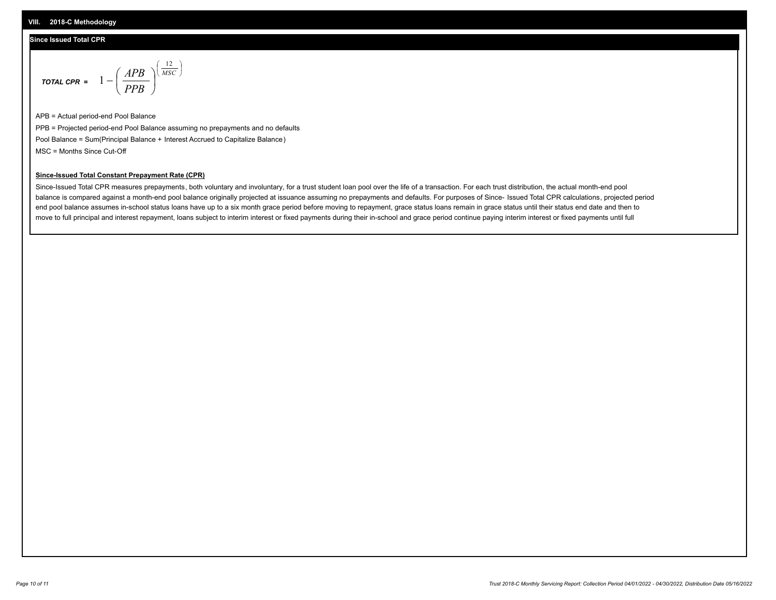## **Since Issued Total CPR**

$$
\text{total cPR} = 1 - \left(\frac{APB}{PPB}\right)^{\left(\frac{12}{MSC}\right)}
$$

APB = Actual period-end Pool Balance PPB = Projected period-end Pool Balance assuming no prepayments and no defaults Pool Balance = Sum(Principal Balance + Interest Accrued to Capitalize Balance) MSC = Months Since Cut-Off

I J Ι

## **Since-Issued Total Constant Prepayment Rate (CPR)**

Since-Issued Total CPR measures prepayments, both voluntary and involuntary, for a trust student loan pool over the life of a transaction. For each trust distribution, the actual month-end pool balance is compared against a month-end pool balance originally projected at issuance assuming no prepayments and defaults. For purposes of Since- Issued Total CPR calculations, projected period end pool balance assumes in-school status loans have up to a six month grace period before moving to repayment, grace status loans remain in grace status until their status end date and then to move to full principal and interest repayment, loans subject to interim interest or fixed payments during their in-school and grace period continue paying interim interest or fixed payments until full